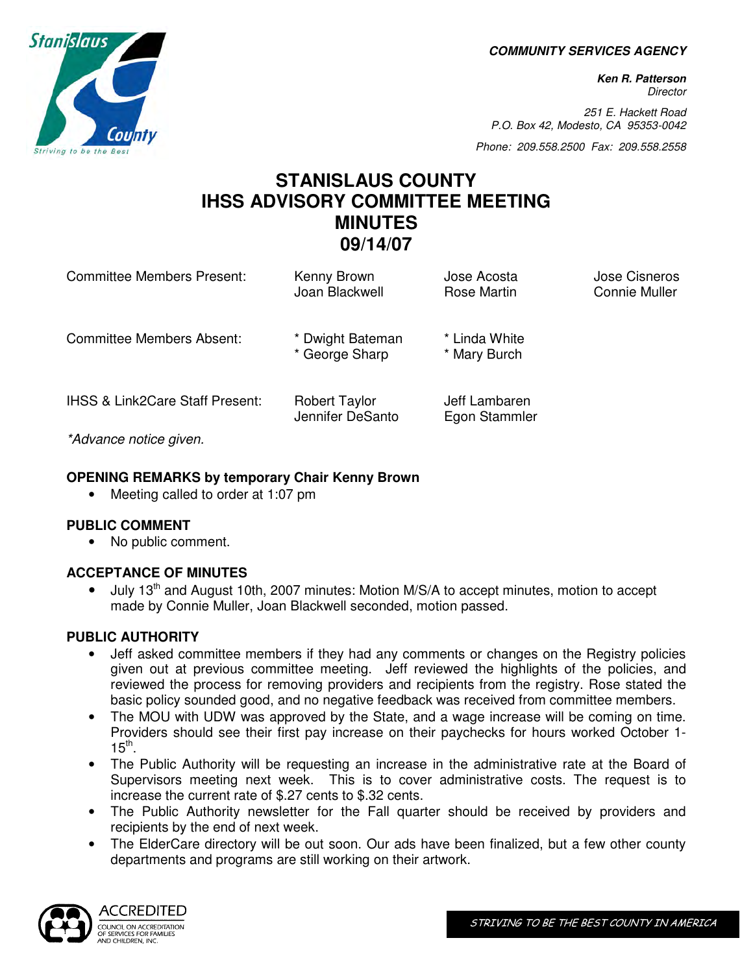**COMMUNITY SERVICES AGENCY** 

**Ken R. Patterson Director** 

251 E. Hackett Road P.O. Box 42, Modesto, CA 95353-0042

Phone: 209.558.2500 Fax: 209.558.2558

# **STANISLAUS COUNTY IHSS ADVISORY COMMITTEE MEETING MINUTES 09/14/07**

| <b>Committee Members Present:</b>          | Kenny Brown<br>Joan Blackwell            | Jose Acosta<br><b>Rose Martin</b> | <b>Jose Cisneros</b><br><b>Connie Muller</b> |
|--------------------------------------------|------------------------------------------|-----------------------------------|----------------------------------------------|
| Committee Members Absent:                  | * Dwight Bateman<br>* George Sharp       | * Linda White<br>* Mary Burch     |                                              |
| <b>IHSS &amp; Link2Care Staff Present:</b> | <b>Robert Taylor</b><br>Jennifer DeSanto | Jeff Lambaren<br>Egon Stammler    |                                              |
| *Advance notice given.                     |                                          |                                   |                                              |

#### **OPENING REMARKS by temporary Chair Kenny Brown**

• Meeting called to order at 1:07 pm

#### **PUBLIC COMMENT**

• No public comment.

## **ACCEPTANCE OF MINUTES**

July  $13<sup>th</sup>$  and August 10th, 2007 minutes: Motion M/S/A to accept minutes, motion to accept made by Connie Muller, Joan Blackwell seconded, motion passed.

## **PUBLIC AUTHORITY**

- Jeff asked committee members if they had any comments or changes on the Registry policies given out at previous committee meeting. Jeff reviewed the highlights of the policies, and reviewed the process for removing providers and recipients from the registry. Rose stated the basic policy sounded good, and no negative feedback was received from committee members.
- The MOU with UDW was approved by the State, and a wage increase will be coming on time. Providers should see their first pay increase on their paychecks for hours worked October 1-  $15^{\text{th}}$ .
- The Public Authority will be requesting an increase in the administrative rate at the Board of Supervisors meeting next week. This is to cover administrative costs. The request is to increase the current rate of \$.27 cents to \$.32 cents.
- The Public Authority newsletter for the Fall quarter should be received by providers and recipients by the end of next week.
- The ElderCare directory will be out soon. Our ads have been finalized, but a few other county departments and programs are still working on their artwork.



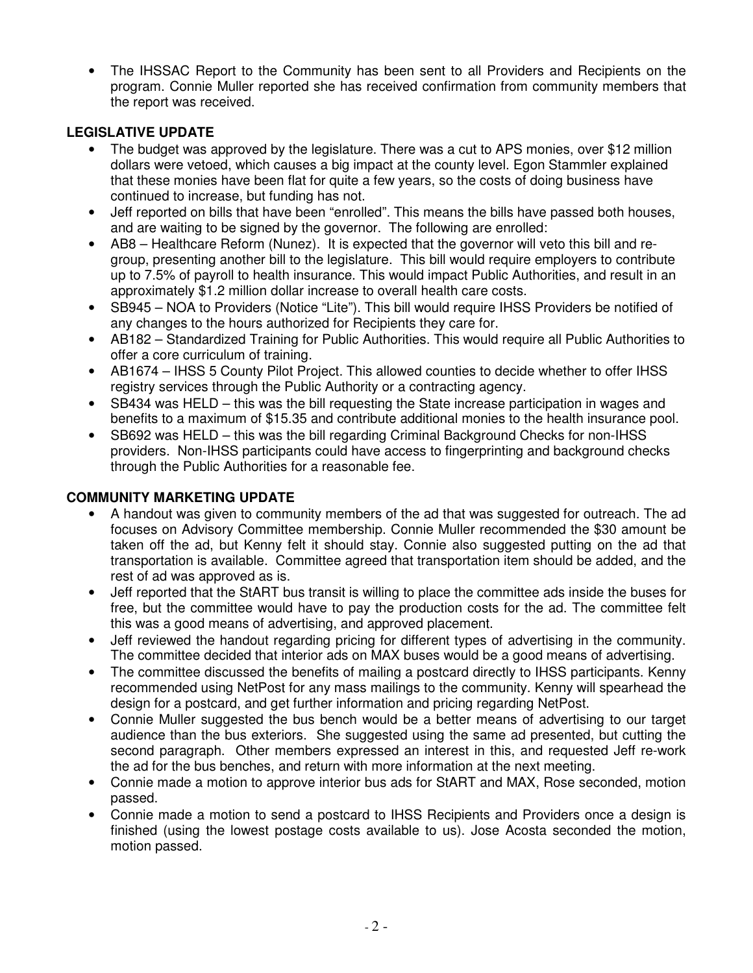• The IHSSAC Report to the Community has been sent to all Providers and Recipients on the program. Connie Muller reported she has received confirmation from community members that the report was received.

# **LEGISLATIVE UPDATE**

- The budget was approved by the legislature. There was a cut to APS monies, over \$12 million dollars were vetoed, which causes a big impact at the county level. Egon Stammler explained that these monies have been flat for quite a few years, so the costs of doing business have continued to increase, but funding has not.
- Jeff reported on bills that have been "enrolled". This means the bills have passed both houses, and are waiting to be signed by the governor. The following are enrolled:
- AB8 Healthcare Reform (Nunez). It is expected that the governor will veto this bill and regroup, presenting another bill to the legislature. This bill would require employers to contribute up to 7.5% of payroll to health insurance. This would impact Public Authorities, and result in an approximately \$1.2 million dollar increase to overall health care costs.
- SB945 NOA to Providers (Notice "Lite"). This bill would require IHSS Providers be notified of any changes to the hours authorized for Recipients they care for.
- AB182 Standardized Training for Public Authorities. This would require all Public Authorities to offer a core curriculum of training.
- AB1674 IHSS 5 County Pilot Project. This allowed counties to decide whether to offer IHSS registry services through the Public Authority or a contracting agency.
- SB434 was HELD this was the bill requesting the State increase participation in wages and benefits to a maximum of \$15.35 and contribute additional monies to the health insurance pool.
- SB692 was HELD this was the bill regarding Criminal Background Checks for non-IHSS providers. Non-IHSS participants could have access to fingerprinting and background checks through the Public Authorities for a reasonable fee.

## **COMMUNITY MARKETING UPDATE**

- A handout was given to community members of the ad that was suggested for outreach. The ad focuses on Advisory Committee membership. Connie Muller recommended the \$30 amount be taken off the ad, but Kenny felt it should stay. Connie also suggested putting on the ad that transportation is available. Committee agreed that transportation item should be added, and the rest of ad was approved as is.
- Jeff reported that the StART bus transit is willing to place the committee ads inside the buses for free, but the committee would have to pay the production costs for the ad. The committee felt this was a good means of advertising, and approved placement.
- Jeff reviewed the handout regarding pricing for different types of advertising in the community. The committee decided that interior ads on MAX buses would be a good means of advertising.
- The committee discussed the benefits of mailing a postcard directly to IHSS participants. Kenny recommended using NetPost for any mass mailings to the community. Kenny will spearhead the design for a postcard, and get further information and pricing regarding NetPost.
- Connie Muller suggested the bus bench would be a better means of advertising to our target audience than the bus exteriors. She suggested using the same ad presented, but cutting the second paragraph. Other members expressed an interest in this, and requested Jeff re-work the ad for the bus benches, and return with more information at the next meeting.
- Connie made a motion to approve interior bus ads for StART and MAX, Rose seconded, motion passed.
- Connie made a motion to send a postcard to IHSS Recipients and Providers once a design is finished (using the lowest postage costs available to us). Jose Acosta seconded the motion, motion passed.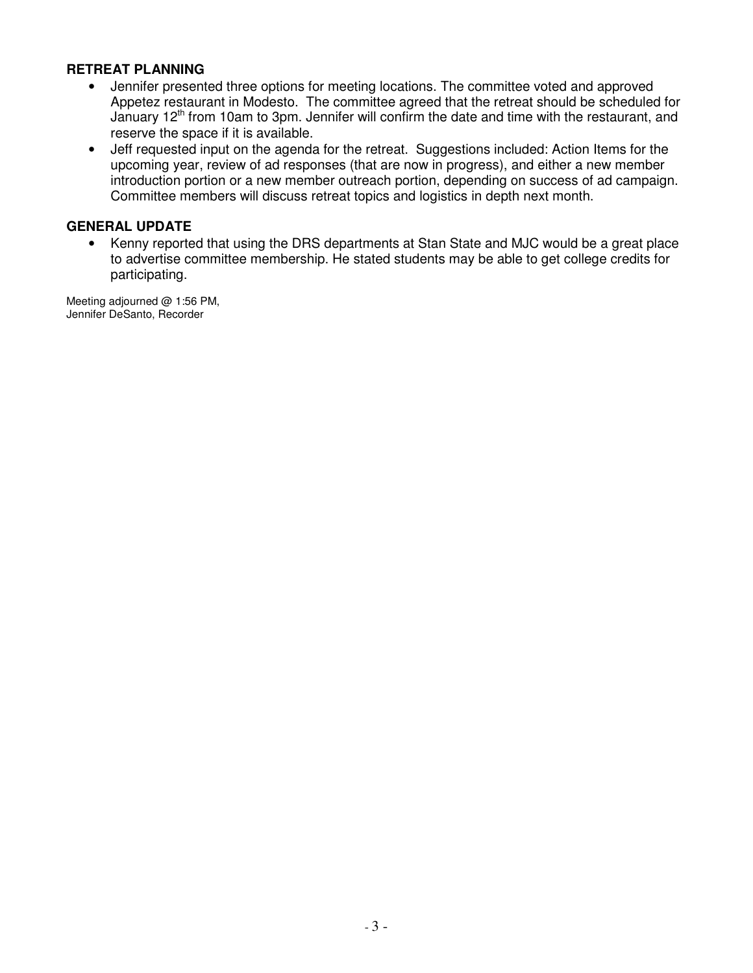#### **RETREAT PLANNING**

- Jennifer presented three options for meeting locations. The committee voted and approved Appetez restaurant in Modesto. The committee agreed that the retreat should be scheduled for January 12<sup>th</sup> from 10am to 3pm. Jennifer will confirm the date and time with the restaurant, and reserve the space if it is available.
- Jeff requested input on the agenda for the retreat. Suggestions included: Action Items for the upcoming year, review of ad responses (that are now in progress), and either a new member introduction portion or a new member outreach portion, depending on success of ad campaign. Committee members will discuss retreat topics and logistics in depth next month.

#### **GENERAL UPDATE**

• Kenny reported that using the DRS departments at Stan State and MJC would be a great place to advertise committee membership. He stated students may be able to get college credits for participating.

Meeting adjourned @ 1:56 PM, Jennifer DeSanto, Recorder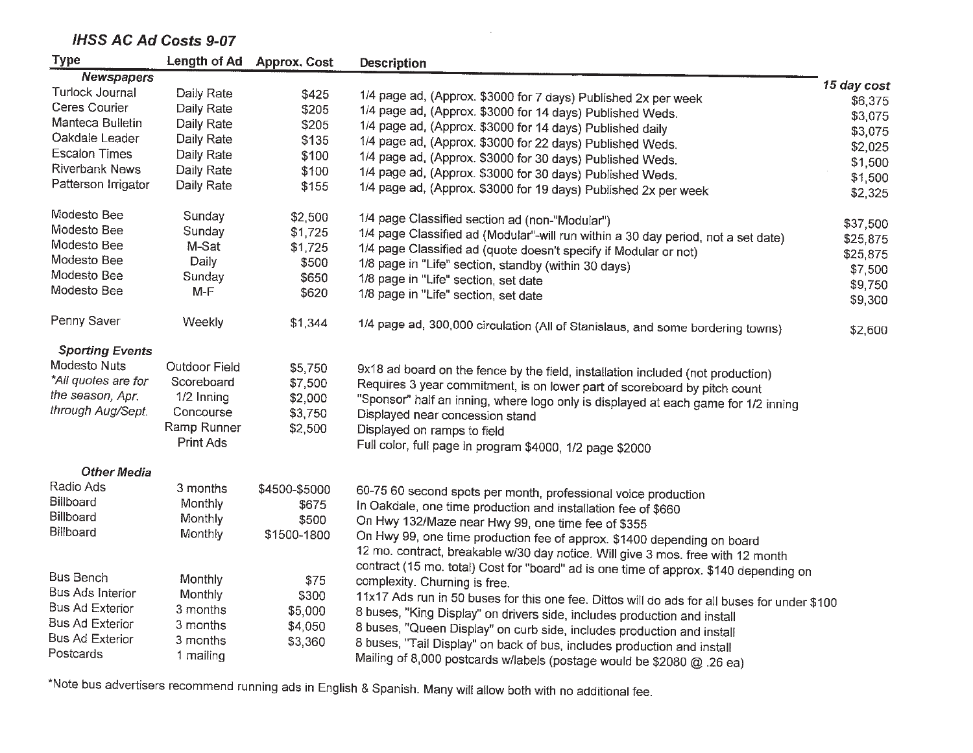# **IHSS AC Ad Costs 9-07**

| <b>Type</b><br>Length of Ad Approx. Cost<br><b>Description</b><br><b>Newspapers</b><br>15 day cost<br>Turlock Journal<br>Daily Rate<br>\$425<br>1/4 page ad, (Approx. \$3000 for 7 days) Published 2x per week<br>\$6,375<br>Ceres Courier<br>Daily Rate<br>\$205<br>1/4 page ad, (Approx. \$3000 for 14 days) Published Weds.<br>\$3,075<br>Manteca Bulletin<br>Daily Rate<br>\$205<br>1/4 page ad, (Approx. \$3000 for 14 days) Published daily<br>\$3,075<br>Oakdale Leader<br>Daily Rate<br>\$135<br>1/4 page ad, (Approx. \$3000 for 22 days) Published Weds.<br>\$2,025<br><b>Escalon Times</b><br>Daily Rate<br>\$100<br>1/4 page ad, (Approx. \$3000 for 30 days) Published Weds.<br>\$1,500<br><b>Riverbank News</b><br>Daily Rate<br>\$100<br>1/4 page ad, (Approx. \$3000 for 30 days) Published Weds.<br>\$1,500<br>Patterson Irrigator<br>Daily Rate<br>\$155<br>1/4 page ad, (Approx. \$3000 for 19 days) Published 2x per week<br>\$2,325<br>Modesto Bee<br>Sunday<br>\$2,500<br>1/4 page Classified section ad (non-"Modular")<br>\$37,500<br>Modesto Bee<br>Sunday<br>\$1,725<br>1/4 page Classified ad (Modular"-will run within a 30 day period, not a set date)<br>\$25,875<br>Modesto Bee<br>M-Sat<br>\$1,725<br>1/4 page Classified ad (quote doesn't specify if Modular or not)<br>\$25,875<br>Modesto Bee<br>Daily<br>\$500<br>1/8 page in "Life" section, standby (within 30 days)<br>\$7,500<br>Modesto Bee<br>Sunday<br>\$650<br>1/8 page in "Life" section, set date<br>\$9,750<br>Modesto Bee<br>$M-F$<br>\$620<br>1/8 page in "Life" section, set date<br>\$9,300<br>Penny Saver<br>Weekly<br>\$1,344<br>1/4 page ad, 300,000 circulation (All of Stanislaus, and some bordering towns)<br>\$2,600<br><b>Sporting Events</b><br>Modesto Nuts<br><b>Outdoor Field</b><br>\$5,750<br>9x18 ad board on the fence by the field, installation included (not production)<br>*All quotes are for<br>Scoreboard<br>\$7,500<br>Requires 3 year commitment, is on lower part of scoreboard by pitch count<br>the season, Apr.<br>1/2 Inning<br>\$2,000<br>"Sponsor" half an inning, where logo only is displayed at each game for 1/2 inning<br>through Aug/Sept.<br>Concourse<br>\$3,750<br>Displayed near concession stand<br>Ramp Runner<br>\$2,500 |
|----------------------------------------------------------------------------------------------------------------------------------------------------------------------------------------------------------------------------------------------------------------------------------------------------------------------------------------------------------------------------------------------------------------------------------------------------------------------------------------------------------------------------------------------------------------------------------------------------------------------------------------------------------------------------------------------------------------------------------------------------------------------------------------------------------------------------------------------------------------------------------------------------------------------------------------------------------------------------------------------------------------------------------------------------------------------------------------------------------------------------------------------------------------------------------------------------------------------------------------------------------------------------------------------------------------------------------------------------------------------------------------------------------------------------------------------------------------------------------------------------------------------------------------------------------------------------------------------------------------------------------------------------------------------------------------------------------------------------------------------------------------------------------------------------------------------------------------------------------------------------------------------------------------------------------------------------------------------------------------------------------------------------------------------------------------------------------------------------------------------------------------------------------------------------------------------------------------------------------------------------------------------------|
|                                                                                                                                                                                                                                                                                                                                                                                                                                                                                                                                                                                                                                                                                                                                                                                                                                                                                                                                                                                                                                                                                                                                                                                                                                                                                                                                                                                                                                                                                                                                                                                                                                                                                                                                                                                                                                                                                                                                                                                                                                                                                                                                                                                                                                                                            |
|                                                                                                                                                                                                                                                                                                                                                                                                                                                                                                                                                                                                                                                                                                                                                                                                                                                                                                                                                                                                                                                                                                                                                                                                                                                                                                                                                                                                                                                                                                                                                                                                                                                                                                                                                                                                                                                                                                                                                                                                                                                                                                                                                                                                                                                                            |
|                                                                                                                                                                                                                                                                                                                                                                                                                                                                                                                                                                                                                                                                                                                                                                                                                                                                                                                                                                                                                                                                                                                                                                                                                                                                                                                                                                                                                                                                                                                                                                                                                                                                                                                                                                                                                                                                                                                                                                                                                                                                                                                                                                                                                                                                            |
|                                                                                                                                                                                                                                                                                                                                                                                                                                                                                                                                                                                                                                                                                                                                                                                                                                                                                                                                                                                                                                                                                                                                                                                                                                                                                                                                                                                                                                                                                                                                                                                                                                                                                                                                                                                                                                                                                                                                                                                                                                                                                                                                                                                                                                                                            |
|                                                                                                                                                                                                                                                                                                                                                                                                                                                                                                                                                                                                                                                                                                                                                                                                                                                                                                                                                                                                                                                                                                                                                                                                                                                                                                                                                                                                                                                                                                                                                                                                                                                                                                                                                                                                                                                                                                                                                                                                                                                                                                                                                                                                                                                                            |
|                                                                                                                                                                                                                                                                                                                                                                                                                                                                                                                                                                                                                                                                                                                                                                                                                                                                                                                                                                                                                                                                                                                                                                                                                                                                                                                                                                                                                                                                                                                                                                                                                                                                                                                                                                                                                                                                                                                                                                                                                                                                                                                                                                                                                                                                            |
|                                                                                                                                                                                                                                                                                                                                                                                                                                                                                                                                                                                                                                                                                                                                                                                                                                                                                                                                                                                                                                                                                                                                                                                                                                                                                                                                                                                                                                                                                                                                                                                                                                                                                                                                                                                                                                                                                                                                                                                                                                                                                                                                                                                                                                                                            |
|                                                                                                                                                                                                                                                                                                                                                                                                                                                                                                                                                                                                                                                                                                                                                                                                                                                                                                                                                                                                                                                                                                                                                                                                                                                                                                                                                                                                                                                                                                                                                                                                                                                                                                                                                                                                                                                                                                                                                                                                                                                                                                                                                                                                                                                                            |
|                                                                                                                                                                                                                                                                                                                                                                                                                                                                                                                                                                                                                                                                                                                                                                                                                                                                                                                                                                                                                                                                                                                                                                                                                                                                                                                                                                                                                                                                                                                                                                                                                                                                                                                                                                                                                                                                                                                                                                                                                                                                                                                                                                                                                                                                            |
|                                                                                                                                                                                                                                                                                                                                                                                                                                                                                                                                                                                                                                                                                                                                                                                                                                                                                                                                                                                                                                                                                                                                                                                                                                                                                                                                                                                                                                                                                                                                                                                                                                                                                                                                                                                                                                                                                                                                                                                                                                                                                                                                                                                                                                                                            |
|                                                                                                                                                                                                                                                                                                                                                                                                                                                                                                                                                                                                                                                                                                                                                                                                                                                                                                                                                                                                                                                                                                                                                                                                                                                                                                                                                                                                                                                                                                                                                                                                                                                                                                                                                                                                                                                                                                                                                                                                                                                                                                                                                                                                                                                                            |
|                                                                                                                                                                                                                                                                                                                                                                                                                                                                                                                                                                                                                                                                                                                                                                                                                                                                                                                                                                                                                                                                                                                                                                                                                                                                                                                                                                                                                                                                                                                                                                                                                                                                                                                                                                                                                                                                                                                                                                                                                                                                                                                                                                                                                                                                            |
|                                                                                                                                                                                                                                                                                                                                                                                                                                                                                                                                                                                                                                                                                                                                                                                                                                                                                                                                                                                                                                                                                                                                                                                                                                                                                                                                                                                                                                                                                                                                                                                                                                                                                                                                                                                                                                                                                                                                                                                                                                                                                                                                                                                                                                                                            |
|                                                                                                                                                                                                                                                                                                                                                                                                                                                                                                                                                                                                                                                                                                                                                                                                                                                                                                                                                                                                                                                                                                                                                                                                                                                                                                                                                                                                                                                                                                                                                                                                                                                                                                                                                                                                                                                                                                                                                                                                                                                                                                                                                                                                                                                                            |
|                                                                                                                                                                                                                                                                                                                                                                                                                                                                                                                                                                                                                                                                                                                                                                                                                                                                                                                                                                                                                                                                                                                                                                                                                                                                                                                                                                                                                                                                                                                                                                                                                                                                                                                                                                                                                                                                                                                                                                                                                                                                                                                                                                                                                                                                            |
|                                                                                                                                                                                                                                                                                                                                                                                                                                                                                                                                                                                                                                                                                                                                                                                                                                                                                                                                                                                                                                                                                                                                                                                                                                                                                                                                                                                                                                                                                                                                                                                                                                                                                                                                                                                                                                                                                                                                                                                                                                                                                                                                                                                                                                                                            |
|                                                                                                                                                                                                                                                                                                                                                                                                                                                                                                                                                                                                                                                                                                                                                                                                                                                                                                                                                                                                                                                                                                                                                                                                                                                                                                                                                                                                                                                                                                                                                                                                                                                                                                                                                                                                                                                                                                                                                                                                                                                                                                                                                                                                                                                                            |
|                                                                                                                                                                                                                                                                                                                                                                                                                                                                                                                                                                                                                                                                                                                                                                                                                                                                                                                                                                                                                                                                                                                                                                                                                                                                                                                                                                                                                                                                                                                                                                                                                                                                                                                                                                                                                                                                                                                                                                                                                                                                                                                                                                                                                                                                            |
|                                                                                                                                                                                                                                                                                                                                                                                                                                                                                                                                                                                                                                                                                                                                                                                                                                                                                                                                                                                                                                                                                                                                                                                                                                                                                                                                                                                                                                                                                                                                                                                                                                                                                                                                                                                                                                                                                                                                                                                                                                                                                                                                                                                                                                                                            |
|                                                                                                                                                                                                                                                                                                                                                                                                                                                                                                                                                                                                                                                                                                                                                                                                                                                                                                                                                                                                                                                                                                                                                                                                                                                                                                                                                                                                                                                                                                                                                                                                                                                                                                                                                                                                                                                                                                                                                                                                                                                                                                                                                                                                                                                                            |
|                                                                                                                                                                                                                                                                                                                                                                                                                                                                                                                                                                                                                                                                                                                                                                                                                                                                                                                                                                                                                                                                                                                                                                                                                                                                                                                                                                                                                                                                                                                                                                                                                                                                                                                                                                                                                                                                                                                                                                                                                                                                                                                                                                                                                                                                            |
|                                                                                                                                                                                                                                                                                                                                                                                                                                                                                                                                                                                                                                                                                                                                                                                                                                                                                                                                                                                                                                                                                                                                                                                                                                                                                                                                                                                                                                                                                                                                                                                                                                                                                                                                                                                                                                                                                                                                                                                                                                                                                                                                                                                                                                                                            |
|                                                                                                                                                                                                                                                                                                                                                                                                                                                                                                                                                                                                                                                                                                                                                                                                                                                                                                                                                                                                                                                                                                                                                                                                                                                                                                                                                                                                                                                                                                                                                                                                                                                                                                                                                                                                                                                                                                                                                                                                                                                                                                                                                                                                                                                                            |
| Displayed on ramps to field<br>Print Ads                                                                                                                                                                                                                                                                                                                                                                                                                                                                                                                                                                                                                                                                                                                                                                                                                                                                                                                                                                                                                                                                                                                                                                                                                                                                                                                                                                                                                                                                                                                                                                                                                                                                                                                                                                                                                                                                                                                                                                                                                                                                                                                                                                                                                                   |
| Full color, full page in program \$4000, 1/2 page \$2000                                                                                                                                                                                                                                                                                                                                                                                                                                                                                                                                                                                                                                                                                                                                                                                                                                                                                                                                                                                                                                                                                                                                                                                                                                                                                                                                                                                                                                                                                                                                                                                                                                                                                                                                                                                                                                                                                                                                                                                                                                                                                                                                                                                                                   |
| <b>Other Media</b>                                                                                                                                                                                                                                                                                                                                                                                                                                                                                                                                                                                                                                                                                                                                                                                                                                                                                                                                                                                                                                                                                                                                                                                                                                                                                                                                                                                                                                                                                                                                                                                                                                                                                                                                                                                                                                                                                                                                                                                                                                                                                                                                                                                                                                                         |
| Radio Ads<br>3 months<br>\$4500-\$5000<br>60-75 60 second spots per month, professional voice production                                                                                                                                                                                                                                                                                                                                                                                                                                                                                                                                                                                                                                                                                                                                                                                                                                                                                                                                                                                                                                                                                                                                                                                                                                                                                                                                                                                                                                                                                                                                                                                                                                                                                                                                                                                                                                                                                                                                                                                                                                                                                                                                                                   |
| Billboard<br>Monthly<br>\$675<br>In Oakdale, one time production and installation fee of \$660                                                                                                                                                                                                                                                                                                                                                                                                                                                                                                                                                                                                                                                                                                                                                                                                                                                                                                                                                                                                                                                                                                                                                                                                                                                                                                                                                                                                                                                                                                                                                                                                                                                                                                                                                                                                                                                                                                                                                                                                                                                                                                                                                                             |
| Billboard<br>Monthly<br>\$500<br>On Hwy 132/Maze near Hwy 99, one time fee of \$355                                                                                                                                                                                                                                                                                                                                                                                                                                                                                                                                                                                                                                                                                                                                                                                                                                                                                                                                                                                                                                                                                                                                                                                                                                                                                                                                                                                                                                                                                                                                                                                                                                                                                                                                                                                                                                                                                                                                                                                                                                                                                                                                                                                        |
| Billboard<br><b>Monthly</b><br>\$1500-1800<br>On Hwy 99, one time production fee of approx. \$1400 depending on board                                                                                                                                                                                                                                                                                                                                                                                                                                                                                                                                                                                                                                                                                                                                                                                                                                                                                                                                                                                                                                                                                                                                                                                                                                                                                                                                                                                                                                                                                                                                                                                                                                                                                                                                                                                                                                                                                                                                                                                                                                                                                                                                                      |
| 12 mo. contract, breakable w/30 day notice. Will give 3 mos. free with 12 month                                                                                                                                                                                                                                                                                                                                                                                                                                                                                                                                                                                                                                                                                                                                                                                                                                                                                                                                                                                                                                                                                                                                                                                                                                                                                                                                                                                                                                                                                                                                                                                                                                                                                                                                                                                                                                                                                                                                                                                                                                                                                                                                                                                            |
| contract (15 mo. total) Cost for "board" ad is one time of approx. \$140 depending on                                                                                                                                                                                                                                                                                                                                                                                                                                                                                                                                                                                                                                                                                                                                                                                                                                                                                                                                                                                                                                                                                                                                                                                                                                                                                                                                                                                                                                                                                                                                                                                                                                                                                                                                                                                                                                                                                                                                                                                                                                                                                                                                                                                      |
| <b>Bus Bench</b><br>Monthly<br>\$75<br>complexity. Churning is free.                                                                                                                                                                                                                                                                                                                                                                                                                                                                                                                                                                                                                                                                                                                                                                                                                                                                                                                                                                                                                                                                                                                                                                                                                                                                                                                                                                                                                                                                                                                                                                                                                                                                                                                                                                                                                                                                                                                                                                                                                                                                                                                                                                                                       |
| Bus Ads Interior<br>Monthly<br>\$300<br>11x17 Ads run in 50 buses for this one fee. Dittos will do ads for all buses for under \$100                                                                                                                                                                                                                                                                                                                                                                                                                                                                                                                                                                                                                                                                                                                                                                                                                                                                                                                                                                                                                                                                                                                                                                                                                                                                                                                                                                                                                                                                                                                                                                                                                                                                                                                                                                                                                                                                                                                                                                                                                                                                                                                                       |
| <b>Bus Ad Exterior</b><br>3 months<br>\$5,000<br>8 buses, "King Display" on drivers side, includes production and install                                                                                                                                                                                                                                                                                                                                                                                                                                                                                                                                                                                                                                                                                                                                                                                                                                                                                                                                                                                                                                                                                                                                                                                                                                                                                                                                                                                                                                                                                                                                                                                                                                                                                                                                                                                                                                                                                                                                                                                                                                                                                                                                                  |
| <b>Bus Ad Exterior</b><br>3 months<br>\$4,050<br>8 buses, "Queen Display" on curb side, includes production and install                                                                                                                                                                                                                                                                                                                                                                                                                                                                                                                                                                                                                                                                                                                                                                                                                                                                                                                                                                                                                                                                                                                                                                                                                                                                                                                                                                                                                                                                                                                                                                                                                                                                                                                                                                                                                                                                                                                                                                                                                                                                                                                                                    |
| <b>Bus Ad Exterior</b><br>3 months<br>\$3,360<br>8 buses, "Tail Display" on back of bus, includes production and install                                                                                                                                                                                                                                                                                                                                                                                                                                                                                                                                                                                                                                                                                                                                                                                                                                                                                                                                                                                                                                                                                                                                                                                                                                                                                                                                                                                                                                                                                                                                                                                                                                                                                                                                                                                                                                                                                                                                                                                                                                                                                                                                                   |
| Postcards<br>1 mailing<br>Mailing of 8,000 postcards w/labels (postage would be \$2080 @ .26 ea)                                                                                                                                                                                                                                                                                                                                                                                                                                                                                                                                                                                                                                                                                                                                                                                                                                                                                                                                                                                                                                                                                                                                                                                                                                                                                                                                                                                                                                                                                                                                                                                                                                                                                                                                                                                                                                                                                                                                                                                                                                                                                                                                                                           |

 $\sim 10^7$ 

\*Note bus advertisers recommend running ads in English & Spanish. Many will allow both with no additional fee.